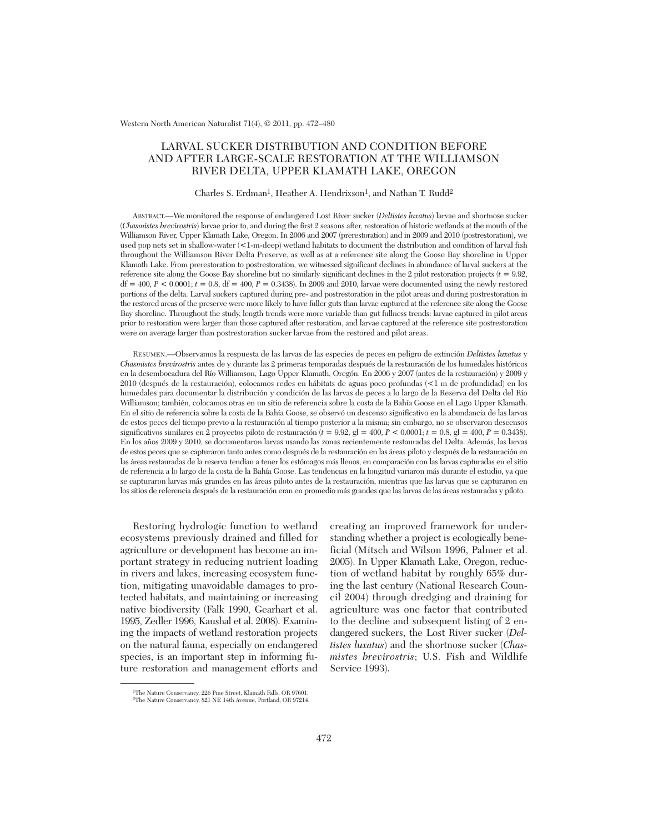Western North American Naturalist 71(4), © 2011, pp. 472–480

# LARVAL SUCKER DISTRIBUTION AND CONDITION BEFORE AND AFTER LARGE-SCALE RESTORATION AT THE WILLIAMSON RIVER DELTA, UPPER KLAMATH LAKE, OREGON

#### Charles S. Erdman<sup>1</sup>, Heather A. Hendrixson<sup>1</sup>, and Nathan T. Rudd<sup>2</sup>

ABSTRACT.—We monitored the response of endangered Lost River sucker (*Deltistes luxatus*) larvae and shortnose sucker (*Chasmistes brevirostris*) larvae prior to, and during the first 2 seasons after, restoration of historic wetlands at the mouth of the Williamson River, Upper Klamath Lake, Oregon. In 2006 and 2007 (prerestoration) and in 2009 and 2010 (postrestoration), we used pop nets set in shallow-water (<1-m-deep) wetland habitats to document the distribution and condition of larval fish throughout the Williamson River Delta Preserve, as well as at a reference site along the Goose Bay shoreline in Upper Klamath Lake. From prerestoration to postrestoration, we witnessed significant declines in abundance of larval suckers at the reference site along the Goose Bay shoreline but no similarly significant declines in the 2 pilot restoration projects (*t* = 9.92,  $df = 400, P < 0.0001; t = 0.8, df = 400, P = 0.3438$ . In 2009 and 2010, larvae were documented using the newly restored portions of the delta. Larval suckers captured during pre- and postrestoration in the pilot areas and during postrestoration in the restored areas of the preserve were more likely to have fuller guts than larvae captured at the reference site along the Goose Bay shoreline. Throughout the study, length trends were more variable than gut fullness trends: larvae captured in pilot areas prior to restoration were larger than those captured after restoration, and larvae captured at the reference site postrestoration were on average larger than postrestoration sucker larvae from the restored and pilot areas.

RESUMEN.—Observamos la respuesta de las larvas de las especies de peces en peligro de extinción *Deltistes luxatus* y *Chasmistes brevirostris* antes de y durante las 2 primeras temporadas después de la restauración de los humedales históricos en la desembocadura del Río Williamson, Lago Upper Klamath, Oregón. En 2006 y 2007 (antes de la restauración) y 2009 y 2010 (después de la restauración), colocamos redes en hábitats de aguas poco profundas (<1 m de profundidad) en los humedales para documentar la distribución y condición de las larvas de peces a lo largo de la Reserva del Delta del Río Williamson; también, colocamos otras en un sitio de referencia sobre la costa de la Bahía Goose en el Lago Upper Klamath. En el sitio de referencia sobre la costa de la Bahía Goose, se observó un descenso significativo en la abundancia de las larvas de estos peces del tiempo previo a la restauración al tiempo posterior a la misma; sin embargo, no se observaron descensos significativos similares en 2 proyectos piloto de restauración (*t* = 9.92, gl = 400, *P* < 0.0001; *t* = 0.8, gl = 400, *P* = 0.3438). En los años 2009 y 2010, se documentaron larvas usando las zonas recientemente restauradas del Delta. Además, las larvas de estos peces que se capturaron tanto antes como después de la restauración en las áreas piloto y después de la restauración en las áreas restauradas de la reserva tendían a tener los estómagos más llenos, en comparación con las larvas capturadas en el sitio de referencia a lo largo de la costa de la Bahía Goose. Las tendencias en la longitud variaron más durante el estudio, ya que se capturaron larvas más grandes en las áreas piloto antes de la restauración, mientras que las larvas que se capturaron en los sitios de referencia después de la restauración eran en promedio más grandes que las larvas de las áreas restauradas y piloto.

Restoring hydrologic function to wetland eco systems previously drained and filled for agriculture or development has become an important strategy in reducing nutrient loading in rivers and lakes, increasing ecosystem function, mitigating unavoidable damages to protected habitats, and maintaining or increasing native biodiversity (Falk 1990, Gearhart et al. 1995, Zedler 1996, Kaushal et al. 2008). Examining the im pacts of wetland restoration projects on the natural fauna, especially on endangered species, is an important step in informing future restoration and management efforts and

creating an improved framework for understanding whether a project is ecologically bene ficial (Mitsch and Wilson 1996, Palmer et al. 2005). In Upper Klamath Lake, Oregon, reduction of wetland habitat by roughly 65% during the last century (National Research Council 2004) through dredging and draining for agriculture was one factor that contributed to the decline and subsequent listing of 2 endangered suckers, the Lost River sucker (*Del tistes luxatus*) and the shortnose sucker (*Chas mistes brevirostris*; U.S. Fish and Wildlife Service 1993).

<sup>1</sup>The Nature Conservancy, 226 Pine Street, Klamath Falls, OR 97601.

<sup>2</sup>The Nature Conservancy, 821 NE 14th Avenue, Portland, OR 97214.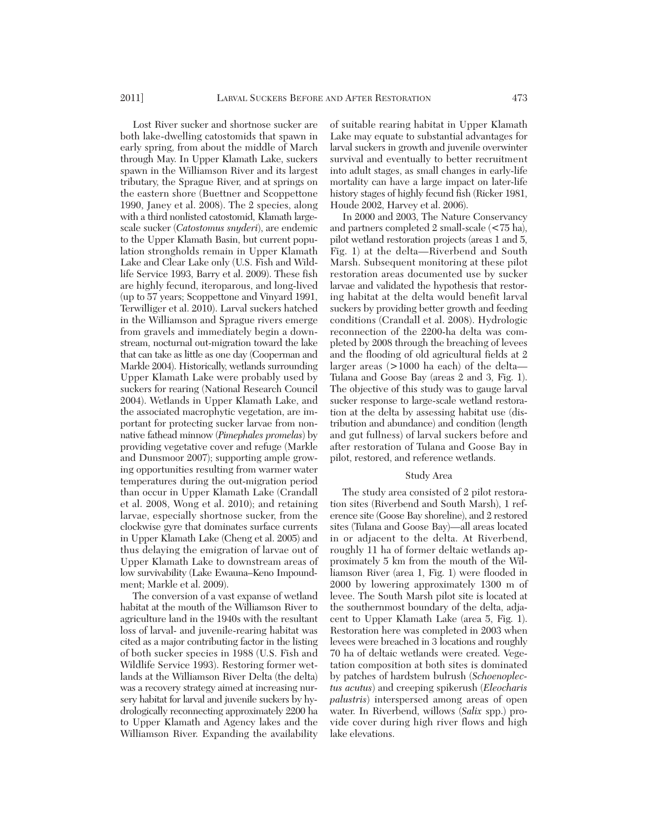Lost River sucker and shortnose sucker are both lake-dwelling catostomids that spawn in early spring, from about the middle of March through May. In Upper Klamath Lake, suckers spawn in the Williamson River and its largest tributary, the Sprague River, and at springs on the eastern shore (Buettner and Scoppettone 1990, Janey et al. 2008). The 2 species, along with a third nonlisted catostomid, Klamath largescale sucker (*Catostomus snyderi*), are endemic to the Upper Klamath Basin, but current population strongholds remain in Upper Klamath Lake and Clear Lake only (U.S. Fish and Wildlife Service 1993, Barry et al. 2009). These fish are highly fecund, iteroparous, and long-lived (up to 57 years; Scoppettone and Vinyard 1991, Terwilliger et al. 2010). Larval suckers hatched in the Williamson and Sprague rivers emerge from gravels and immediately begin a downstream, nocturnal out-migration toward the lake that can take as little as one day (Cooperman and Markle 2004). Historically, wetlands surrounding Upper Klamath Lake were probably used by suckers for rearing (National Research Council 2004). Wetlands in Upper Klamath Lake, and the associated macrophytic vegetation, are im portant for protecting sucker larvae from nonnative fathead minnow (*Pimephales promelas*) by providing vegetative cover and refuge (Markle and Dunsmoor 2007); supporting ample growing opportunities resulting from warmer water temperatures during the out-migration period than occur in Upper Klamath Lake (Crandall et al. 2008, Wong et al. 2010); and retaining larvae, especially shortnose sucker, from the clockwise gyre that dominates surface currents in Upper Klamath Lake (Cheng et al. 2005) and thus delaying the emigration of larvae out of Upper Klamath Lake to downstream areas of low survivability (Lake Ewauna–Keno Impoundment; Markle et al. 2009).

The conversion of a vast expanse of wetland habitat at the mouth of the Williamson River to agriculture land in the 1940s with the resultant loss of larval- and juvenile-rearing habitat was cited as a major contributing factor in the listing of both sucker species in 1988 (U.S. Fish and Wildlife Service 1993). Restoring former wetlands at the Williamson River Delta (the delta) was a recovery strategy aimed at increasing nursery habitat for larval and juvenile suckers by hydrologically reconnecting approximately 2200 ha to Upper Klamath and Agency lakes and the Williamson River. Expanding the availability

of suitable rearing habitat in Upper Klamath Lake may equate to substantial advantages for larval suckers in growth and juvenile overwinter survival and eventually to better recruitment into adult stages, as small changes in early-life mortality can have a large impact on later-life history stages of highly fecund fish (Ricker 1981, Houde 2002, Harvey et al. 2006).

In 2000 and 2003, The Nature Conservancy and partners completed 2 small-scale (<75 ha), pilot wetland restoration projects (areas 1 and 5, Fig. 1) at the delta—Riverbend and South Marsh. Subsequent monitoring at these pilot restoration areas documented use by sucker larvae and validated the hypothesis that restoring habitat at the delta would benefit larval suckers by providing better growth and feeding conditions (Crandall et al. 2008). Hydrologic reconnection of the 2200-ha delta was completed by 2008 through the breaching of levees and the flooding of old agricultural fields at 2 larger areas (>1000 ha each) of the delta— Tulana and Goose Bay (areas 2 and 3, Fig. 1). The objective of this study was to gauge larval sucker response to large-scale wetland restoration at the delta by assessing habitat use (distribution and abundance) and condition (length and gut fullness) of larval suckers before and after restoration of Tulana and Goose Bay in pilot, restored, and reference wetlands.

## Study Area

The study area consisted of 2 pilot restoration sites (Riverbend and South Marsh), 1 reference site (Goose Bay shoreline), and 2 restored sites (Tulana and Goose Bay)—all areas located in or adjacent to the delta. At Riverbend, roughly 11 ha of former deltaic wetlands approximately 5 km from the mouth of the Williamson River (area 1, Fig. 1) were flooded in 2000 by lowering approximately 1300 m of levee. The South Marsh pilot site is located at the southernmost boundary of the delta, adjacent to Upper Klamath Lake (area 5, Fig. 1). Restoration here was completed in 2003 when levees were breached in 3 locations and roughly 70 ha of deltaic wetlands were created. Vegetation composition at both sites is dominated by patches of hardstem bulrush (*Schoenoplectus acutus*) and creeping spikerush (*Eleocharis palustris*) interspersed among areas of open water. In Riverbend, willows (*Salix* spp.) provide cover during high river flows and high lake elevations.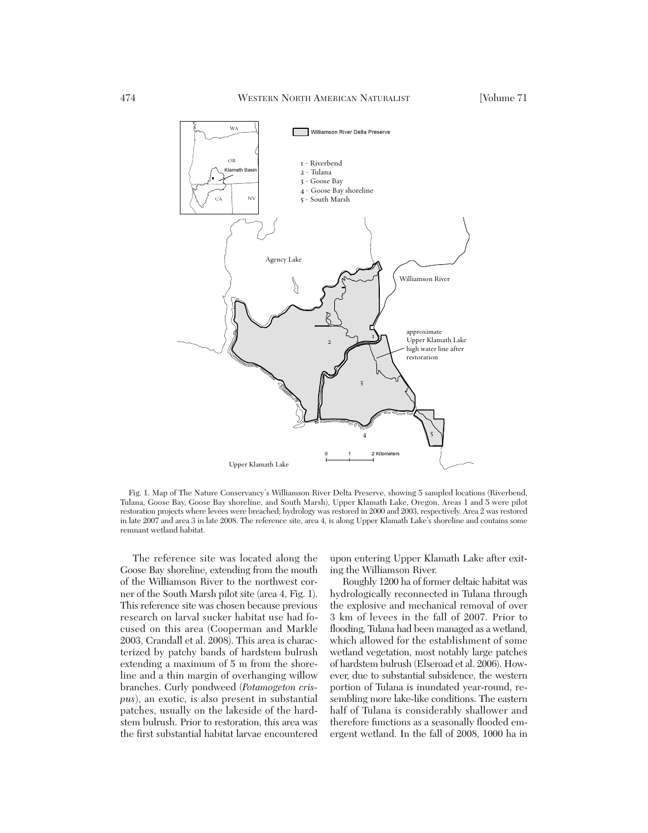

Fig. 1. Map of The Nature Conservancy's Williamson River Delta Preserve, showing 5 sampled locations (Riverbend, Tulana, Goose Bay, Goose Bay shoreline, and South Marsh), Upper Klamath Lake, Oregon. Areas 1 and 5 were pilot restoration projects where levees were breached; hydrology was restored in 2000 and 2003, respectively. Area 2 was restored in late 2007 and area 3 in late 2008. The reference site, area 4, is along Upper Klamath Lake's shoreline and contains some remnant wetland habitat.

The reference site was located along the Goose Bay shoreline, extending from the mouth of the Williamson River to the northwest corner of the South Marsh pilot site (area 4, Fig. 1). This reference site was chosen because previous research on larval sucker habitat use had focused on this area (Cooperman and Markle 2003, Crandall et al. 2008). This area is characterized by patchy bands of hardstem bulrush extending a maximum of 5 m from the shoreline and a thin margin of overhanging willow branches. Curly pondweed (*Potamogeton crispus*), an exotic, is also present in substantial patches, usually on the lakeside of the hardstem bulrush. Prior to restoration, this area was the first substantial habitat larvae encountered

upon entering Upper Klamath Lake after exiting the Williamson River.

Roughly 1200 ha of former deltaic habitat was hydrologically reconnected in Tulana through the explosive and mechanical removal of over 3 km of levees in the fall of 2007. Prior to flooding, Tulana had been managed as a wetland, which allowed for the establishment of some wetland vegetation, most notably large patches of hardstem bulrush (Elseroad et al. 2006). However, due to substantial subsidence, the western portion of Tulana is inundated year-round, re sembling more lake-like conditions. The eastern half of Tulana is considerably shallower and therefore functions as a seasonally flooded em ergent wetland. In the fall of 2008, 1000 ha in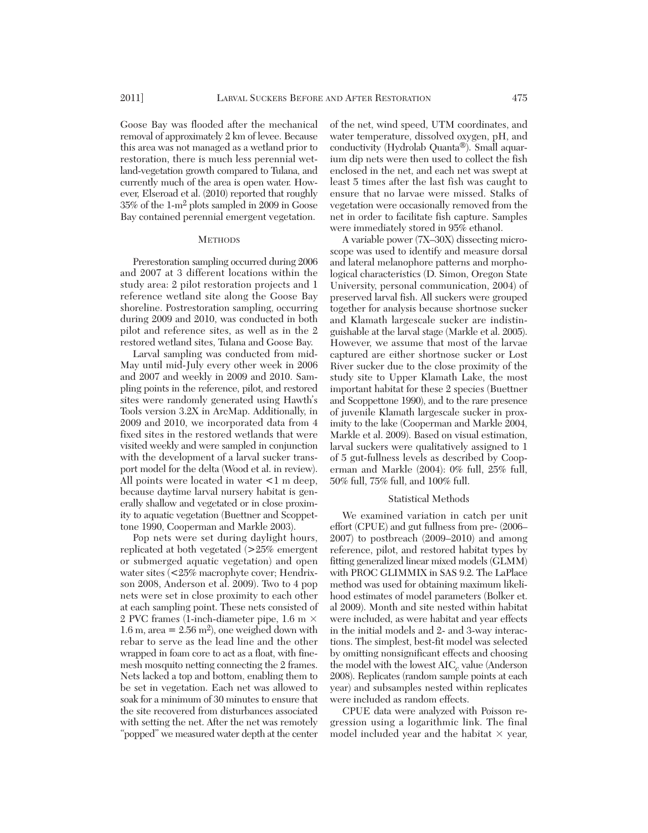Goose Bay was flooded after the mechanical removal of approximately 2 km of levee. Because this area was not managed as a wetland prior to restoration, there is much less perennial wetland-vegetation growth compared to Tulana, and currently much of the area is open water. However, Elseroad et al. (2010) reported that roughly 35% of the 1-m2 plots sampled in 2009 in Goose Bay contained perennial emergent vegetation.

### **METHODS**

Prerestoration sampling occurred during 2006 and 2007 at 3 different locations within the study area: 2 pilot restoration projects and 1 reference wetland site along the Goose Bay shoreline. Postrestoration sampling, occurring during 2009 and 2010, was conducted in both pilot and reference sites, as well as in the 2 restored wetland sites, Tulana and Goose Bay.

Larval sampling was conducted from mid-May until mid-July every other week in 2006 and 2007 and weekly in 2009 and 2010. Sampling points in the reference, pilot, and restored sites were randomly generated using Hawth's Tools version 3.2X in ArcMap. Additionally, in 2009 and 2010, we incorporated data from 4 fixed sites in the restored wetlands that were visited weekly and were sampled in conjunction with the development of a larval sucker transport model for the delta (Wood et al. in review). All points were located in water  $\leq 1$  m deep, because daytime larval nursery habitat is generally shallow and vegetated or in close proximity to aquatic vegetation (Buettner and Scoppettone 1990, Cooperman and Markle 2003).

Pop nets were set during daylight hours, replicated at both vegetated (>25% emergent or submerged aquatic vegetation) and open water sites (<25% macrophyte cover; Hendrixson 2008, Anderson et al. 2009). Two to 4 pop nets were set in close proximity to each other at each sampling point. These nets consisted of 2 PVC frames (1-inch-diameter pipe, 1.6 m × 1.6 m, area  $= 2.56$  m<sup>2</sup>), one weighed down with rebar to serve as the lead line and the other wrapped in foam core to act as a float, with finemesh mosquito netting connecting the 2 frames. Nets lacked a top and bottom, enabling them to be set in vegetation. Each net was allowed to soak for a minimum of 30 minutes to ensure that the site recovered from disturbances associated with setting the net. After the net was remotely "popped" we measured water depth at the center

of the net, wind speed, UTM coordinates, and water temperature, dissolved oxygen, pH, and conductivity (Hydrolab Quanta®). Small aquarium dip nets were then used to collect the fish enclosed in the net, and each net was swept at least 5 times after the last fish was caught to ensure that no larvae were missed. Stalks of vegetation were occasionally removed from the net in order to facilitate fish capture. Samples were immediately stored in 95% ethanol.

A variable power (7X–30X) dissecting microscope was used to identify and measure dorsal and lateral melanophore patterns and morphological characteristics (D. Simon, Oregon State University, personal communication, 2004) of preserved larval fish. All suckers were grouped together for analysis because shortnose sucker and Klamath largescale sucker are indistinguishable at the larval stage (Markle et al. 2005). However, we assume that most of the larvae captured are either shortnose sucker or Lost River sucker due to the close proximity of the study site to Upper Klamath Lake, the most important habitat for these 2 species (Buettner and Scoppettone 1990), and to the rare presence of juvenile Klamath largescale sucker in proximity to the lake (Cooperman and Markle 2004, Markle et al. 2009). Based on visual estimation, larval suckers were qualitatively assigned to 1 of 5 gut-fullness levels as described by Cooperman and Markle (2004): 0% full, 25% full, 50% full, 75% full, and 100% full.

### Statistical Methods

We examined variation in catch per unit effort (CPUE) and gut fullness from pre- (2006– 2007) to postbreach (2009–2010) and among reference, pilot, and restored habitat types by fitting generalized linear mixed models (GLMM) with PROC GLIMMIX in SAS 9.2. The LaPlace method was used for obtaining maximum likelihood estimates of model parameters (Bolker et. al 2009). Month and site nested within habitat were included, as were habitat and year effects in the initial models and 2- and 3-way interactions. The simplest, best-fit model was selected by omitting nonsignificant effects and choosing the model with the lowest AIC*<sup>c</sup>* value (Anderson 2008). Replicates (random sample points at each year) and subsamples nested within replicates were included as random effects.

CPUE data were analyzed with Poisson re gression using a logarithmic link. The final model included year and the habitat  $\times$  year,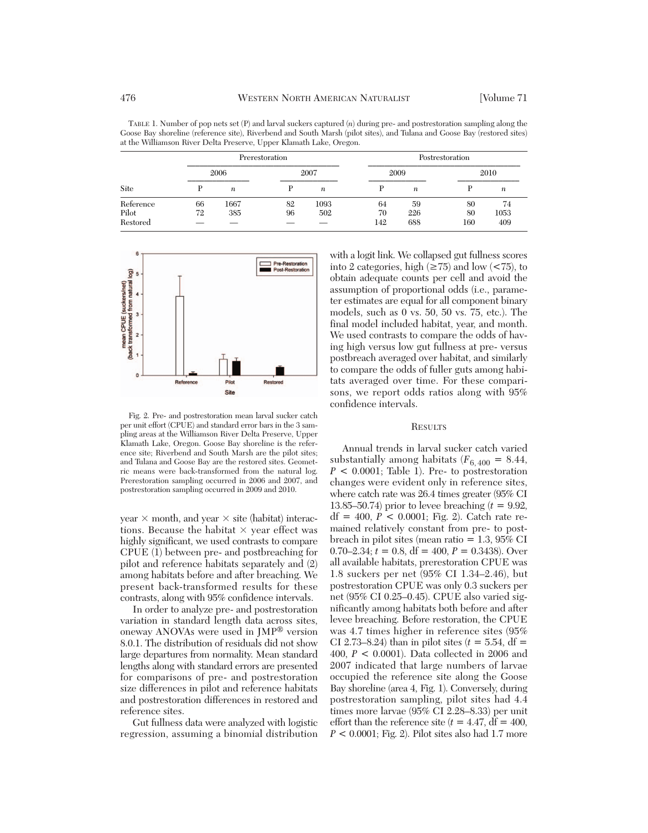TABLE 1. Number of pop nets set (P) and larval suckers captured (*n*) during pre- and postrestoration sampling along the Goose Bay shoreline (reference site), Riverbend and South Marsh (pilot sites), and Tulana and Goose Bay (restored sites) at the Williamson River Delta Preserve, Upper Klamath Lake, Oregon.

| Site      | Prerestoration |                  |      |                  | Postrestoration |                  |      |                  |
|-----------|----------------|------------------|------|------------------|-----------------|------------------|------|------------------|
|           | 2006           |                  | 2007 |                  | 2009            |                  | 2010 |                  |
|           |                | $\boldsymbol{n}$ |      | $\boldsymbol{n}$ |                 | $\boldsymbol{n}$ |      | $\boldsymbol{n}$ |
| Reference | 66             | 1667             | 82   | 1093             | 64              | 59               | 80   | 74               |
| Pilot     | 72             | 385              | 96   | 502              | 70              | 226              | 80   | 1053             |
| Restored  |                |                  |      |                  | 142             | 688              | 160  | 409              |



Fig. 2. Pre- and postrestoration mean larval sucker catch per unit effort (CPUE) and standard error bars in the 3 sampling areas at the Williamson River Delta Preserve, Upper Klamath Lake, Oregon. Goose Bay shoreline is the reference site; Riverbend and South Marsh are the pilot sites; and Tulana and Goose Bay are the restored sites. Geometric means were back-transformed from the natural log. Prerestoration sampling occurred in 2006 and 2007, and postrestoration sampling occurred in 2009 and 2010.

year  $\times$  month, and year  $\times$  site (habitat) interactions. Because the habitat  $\times$  year effect was highly significant, we used contrasts to compare CPUE (1) between pre- and postbreaching for pilot and reference habitats separately and (2) among habitats before and after breaching. We present back-transformed results for these contrasts, along with 95% confidence intervals.

In order to analyze pre- and postrestoration variation in standard length data across sites, oneway ANOVAs were used in JMP® version 8.0.1. The distribution of residuals did not show large departures from normality. Mean standard lengths along with standard errors are presented for comparisons of pre- and postrestoration size differences in pilot and reference habitats and postrestoration differences in restored and reference sites.

Gut fullness data were analyzed with logistic regression, assuming a binomial distribution with a logit link. We collapsed gut fullness scores into 2 categories, high  $(\geq 75)$  and low  $(< 75)$ , to obtain adequate counts per cell and avoid the assumption of proportional odds (i.e., parameter estimates are equal for all component binary models, such as 0 vs. 50, 50 vs. 75, etc.). The final model included habitat, year, and month. We used contrasts to compare the odds of having high versus low gut fullness at pre- versus postbreach averaged over habitat, and similarly to compare the odds of fuller guts among habitats averaged over time. For these comparisons, we report odds ratios along with 95% confidence intervals.

#### **RESULTS**

Annual trends in larval sucker catch varied substantially among habitats  $(F_{6,400} = 8.44,$  $P < 0.0001$ ; Table 1). Pre- to postrestoration changes were evident only in reference sites, where catch rate was 26.4 times greater (95% CI 13.85–50.74) prior to levee breaching  $(t = 9.92,$  $df = 400, P < 0.0001$ ; Fig. 2). Catch rate remained relatively constant from pre- to postbreach in pilot sites (mean ratio  $= 1.3, 95\%$  CI 0.70–2.34;  $t = 0.8$ , df = 400,  $P = 0.3438$ ). Over all available habitats, prerestoration CPUE was 1.8 suckers per net (95% CI 1.34–2.46), but post restoration CPUE was only 0.3 suckers per net (95% CI 0.25–0.45). CPUE also varied significantly among habitats both before and after levee breaching. Before restoration, the CPUE was 4.7 times higher in reference sites (95% CI 2.73–8.24) than in pilot sites  $(t = 5.54, df =$ 400, *P* < 0.0001). Data collected in 2006 and 2007 indicated that large numbers of larvae occupied the reference site along the Goose Bay shoreline (area 4, Fig. 1). Conversely, during postrestoration sampling, pilot sites had 4.4 times more larvae (95% CI 2.28–8.33) per unit effort than the reference site  $(t = 4.47, df = 400,$  $P < 0.0001$ ; Fig. 2). Pilot sites also had 1.7 more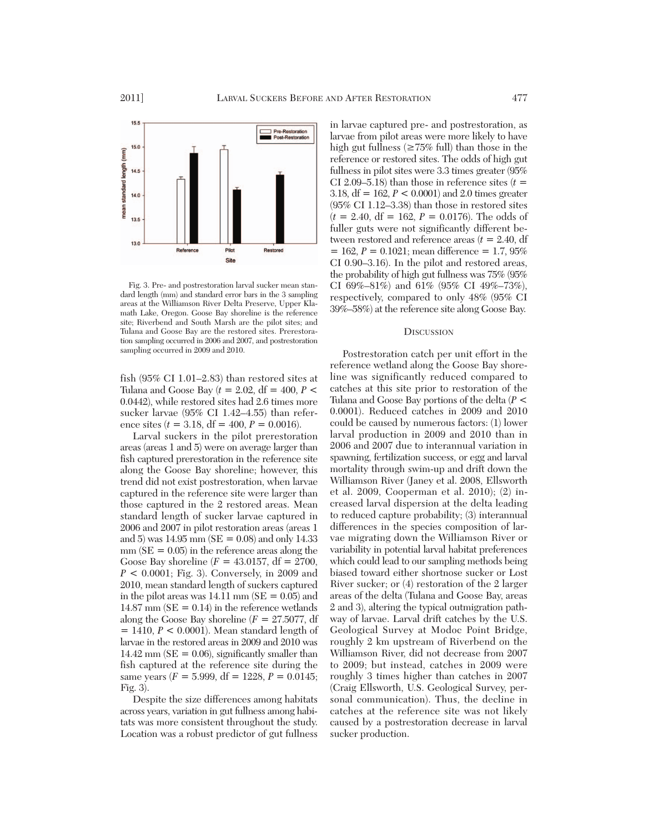

Fig. 3. Pre- and postrestoration larval sucker mean stan dard length (mm) and standard error bars in the 3 sampling areas at the Williamson River Delta Preserve, Upper Klamath Lake, Oregon. Goose Bay shoreline is the reference site; Riverbend and South Marsh are the pilot sites; and Tulana and Goose Bay are the restored sites. Prerestoration sampling occurred in 2006 and 2007, and postrestoration sampling occurred in 2009 and 2010.

fish (95% CI 1.01–2.83) than restored sites at Tulana and Goose Bay  $(t = 2.02, df = 400, P <$ 0.0442), while restored sites had 2.6 times more sucker larvae (95% CI 1.42–4.55) than reference sites  $(t = 3.18, df = 400, P = 0.0016)$ .

Larval suckers in the pilot prerestoration areas (areas 1 and 5) were on average larger than fish captured prerestoration in the reference site along the Goose Bay shoreline; however, this trend did not exist postrestoration, when larvae captured in the reference site were larger than those captured in the 2 restored areas. Mean standard length of sucker larvae captured in 2006 and 2007 in pilot restoration areas (areas 1 and 5) was  $14.95$  mm (SE = 0.08) and only 14.33  $mm (SE = 0.05)$  in the reference areas along the Goose Bay shoreline  $(F = 43.0157, df = 2700,$ *P* < 0.0001; Fig. 3). Conversely, in 2009 and 2010, mean standard length of suckers captured in the pilot areas was  $14.11$  mm (SE = 0.05) and  $14.87$  mm (SE = 0.14) in the reference wetlands along the Goose Bay shoreline  $(F = 27.5077, df)$ = 1410, *P* < 0.0001). Mean standard length of larvae in the restored areas in 2009 and 2010 was  $14.42$  mm (SE = 0.06), significantly smaller than fish captured at the reference site during the same years  $(F = 5.999, df = 1228, P = 0.0145;$ Fig. 3).

Despite the size differences among habitats across years, variation in gut fullness among habi tats was more consistent throughout the study. Location was a robust predictor of gut fullness

in larvae captured pre- and postrestoration, as larvae from pilot areas were more likely to have high gut fullness ( $\geq 75\%$  full) than those in the reference or restored sites. The odds of high gut fullness in pilot sites were 3.3 times greater (95% CI 2.09–5.18) than those in reference sites  $(t =$ 3.18, df = 162, *P* < 0.0001) and 2.0 times greater (95% CI 1.12–3.38) than those in restored sites  $(t = 2.40, df = 162, P = 0.0176)$ . The odds of fuller guts were not significantly different between restored and reference areas  $(t = 2.40, df)$  $= 162, P = 0.1021$ ; mean difference  $= 1.7, 95\%$ CI 0.90–3.16). In the pilot and restored areas, the probability of high gut fullness was 75% (95% CI 69%–81%) and 61% (95% CI 49%–73%), respectively, compared to only 48% (95% CI 39%–58%) at the reference site along Goose Bay.

### **DISCUSSION**

Postrestoration catch per unit effort in the reference wetland along the Goose Bay shoreline was significantly reduced compared to catches at this site prior to restoration of the Tulana and Goose Bay portions of the delta (*P* < 0.0001). Reduced catches in 2009 and 2010 could be caused by numerous factors: (1) lower larval production in 2009 and 2010 than in 2006 and 2007 due to interannual variation in spawning, fertilization success, or egg and larval mortality through swim-up and drift down the Williamson River (Janey et al. 2008, Ellsworth et al. 2009, Cooperman et al. 2010); (2) in creased larval dispersion at the delta leading to reduced capture probability; (3) interannual differences in the species composition of larvae migrating down the Williamson River or variability in potential larval habitat preferences which could lead to our sampling methods being biased toward either shortnose sucker or Lost River sucker; or (4) restoration of the 2 larger areas of the delta (Tulana and Goose Bay, areas 2 and 3), altering the typical outmigration pathway of larvae. Larval drift catches by the U.S. Geological Survey at Modoc Point Bridge, roughly 2 km upstream of Riverbend on the Williamson River, did not decrease from 2007 to 2009; but instead, catches in 2009 were roughly 3 times higher than catches in 2007 (Craig Ellsworth, U.S. Geological Survey, personal communication). Thus, the decline in catches at the reference site was not likely caused by a postrestoration decrease in larval sucker production.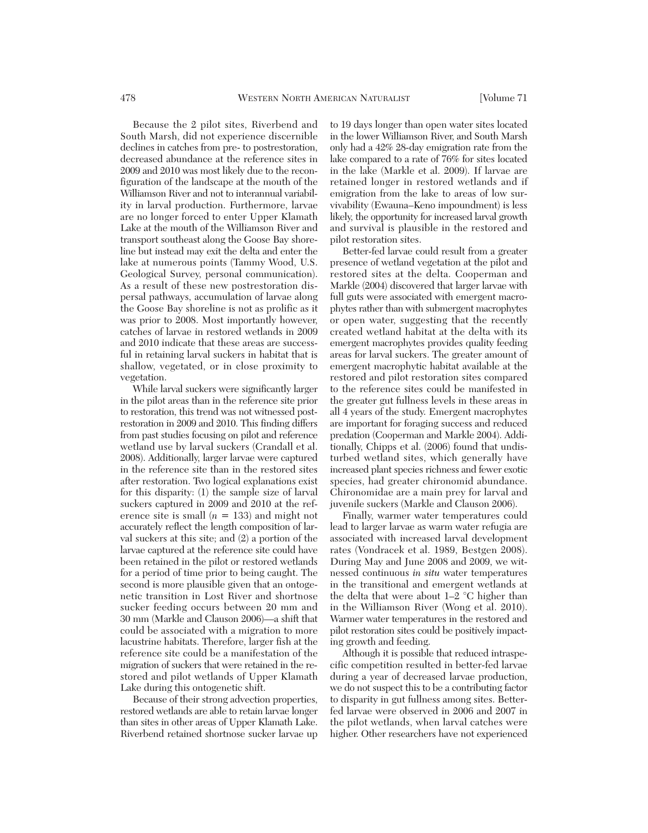Because the 2 pilot sites, Riverbend and South Marsh, did not experience discernible declines in catches from pre- to postrestoration, decreased abundance at the reference sites in 2009 and 2010 was most likely due to the reconfiguration of the landscape at the mouth of the Williamson River and not to interannual variability in larval production. Furthermore, larvae are no longer forced to enter Upper Klamath Lake at the mouth of the Williamson River and transport southeast along the Goose Bay shoreline but instead may exit the delta and enter the lake at numerous points (Tammy Wood, U.S. Geological Survey, personal communication). As a result of these new postrestoration dispersal pathways, accumulation of larvae along the Goose Bay shoreline is not as prolific as it was prior to 2008. Most importantly however, catches of larvae in restored wetlands in 2009 and 2010 indicate that these areas are successful in retaining larval suckers in habitat that is shallow, vegetated, or in close proximity to vegetation.

While larval suckers were significantly larger in the pilot areas than in the reference site prior to restoration, this trend was not witnessed postrestoration in 2009 and 2010. This finding differs from past studies focusing on pilot and reference wetland use by larval suckers (Crandall et al. 2008). Additionally, larger larvae were captured in the reference site than in the restored sites after restoration. Two logical explanations exist for this disparity: (1) the sample size of larval suckers captured in 2009 and 2010 at the reference site is small (*n* = 133) and might not accurately reflect the length composition of larval suckers at this site; and (2) a portion of the larvae captured at the reference site could have been retained in the pilot or restored wetlands for a period of time prior to being caught. The second is more plausible given that an ontogenetic transition in Lost River and shortnose sucker feeding occurs between 20 mm and 30 mm (Markle and Clauson 2006)—a shift that could be associated with a migration to more lacustrine habitats. Therefore, larger fish at the reference site could be a manifestation of the migration of suckers that were retained in the restored and pilot wetlands of Upper Klamath Lake during this ontogenetic shift.

Because of their strong advection properties, restored wetlands are able to retain larvae longer than sites in other areas of Upper Klamath Lake. Riverbend retained shortnose sucker larvae up to 19 days longer than open water sites located in the lower Williamson River, and South Marsh only had a 42% 28-day emigration rate from the lake compared to a rate of 76% for sites located in the lake (Markle et al. 2009). If larvae are retained longer in restored wetlands and if emigration from the lake to areas of low survivability (Ewauna–Keno impoundment) is less likely, the opportunity for increased larval growth and survival is plausible in the restored and pilot restoration sites.

Better-fed larvae could result from a greater presence of wetland vegetation at the pilot and restored sites at the delta. Cooperman and Markle (2004) discovered that larger larvae with full guts were associated with emergent macrophytes rather than with submergent macrophytes or open water, suggesting that the recently created wetland habitat at the delta with its emergent macrophytes provides quality feeding areas for larval suckers. The greater amount of emergent macrophytic habitat available at the restored and pilot restoration sites compared to the reference sites could be manifested in the greater gut fullness levels in these areas in all 4 years of the study. Emergent macrophytes are important for foraging success and reduced predation (Cooperman and Markle 2004). Additionally, Chipps et al. (2006) found that undisturbed wetland sites, which generally have increased plant species richness and fewer exotic species, had greater chironomid abundance. Chironomidae are a main prey for larval and juvenile suckers (Markle and Clauson 2006).

Finally, warmer water temperatures could lead to larger larvae as warm water refugia are associated with increased larval development rates (Vondracek et al. 1989, Bestgen 2008). During May and June 2008 and 2009, we witnessed continuous *in situ* water temperatures in the transitional and emergent wetlands at the delta that were about 1–2 °C higher than in the Williamson River (Wong et al. 2010). Warmer water temperatures in the restored and pilot restoration sites could be positively impacting growth and feeding.

Although it is possible that reduced intraspecific competition resulted in better-fed larvae during a year of decreased larvae production, we do not suspect this to be a contributing factor to disparity in gut fullness among sites. Betterfed larvae were observed in 2006 and 2007 in the pilot wetlands, when larval catches were higher. Other researchers have not experienced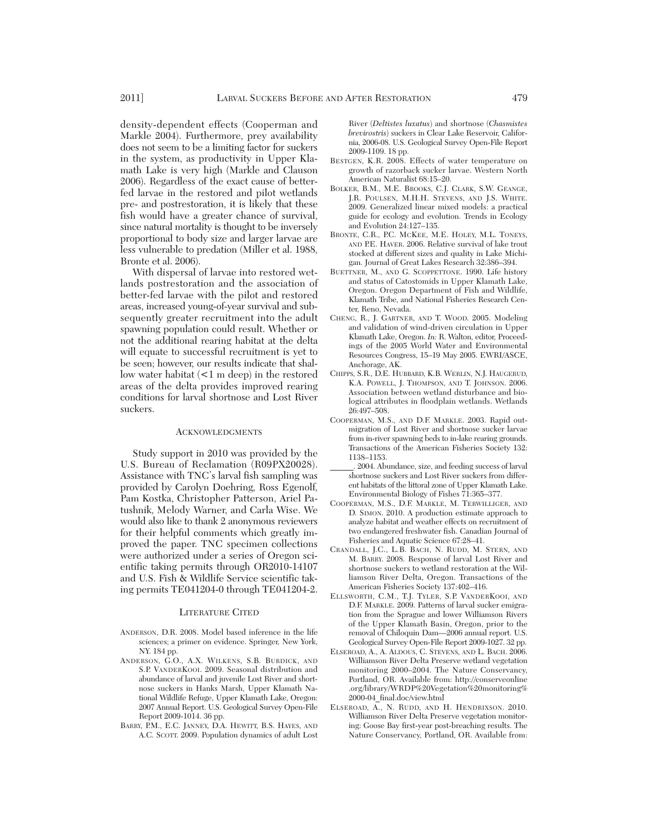density-dependent effects (Cooperman and Markle 2004). Furthermore, prey availability does not seem to be a limiting factor for suckers in the system, as productivity in Upper Klamath Lake is very high (Markle and Clauson 2006). Regardless of the exact cause of betterfed larvae in the restored and pilot wetlands pre- and postrestoration, it is likely that these fish would have a greater chance of survival, since natural mortality is thought to be inversely proportional to body size and larger larvae are less vulnerable to predation (Miller et al. 1988, Bronte et al. 2006).

With dispersal of larvae into restored wetlands postrestoration and the association of better-fed larvae with the pilot and restored areas, increased young-of-year survival and subsequently greater recruitment into the adult spawning population could result. Whether or not the additional rearing habitat at the delta will equate to successful recruitment is yet to be seen; however, our results indicate that shallow water habitat (<1 m deep) in the restored areas of the delta provides improved rearing conditions for larval shortnose and Lost River suckers.

#### ACKNOWLEDGMENTS

Study support in 2010 was provided by the U.S. Bureau of Reclamation (R09PX20028). Assistance with TNC's larval fish sampling was provided by Carolyn Doehring, Ross Egenolf, Pam Kostka, Christopher Patterson, Ariel Patushnik, Melody Warner, and Carla Wise. We would also like to thank 2 anonymous reviewers for their helpful comments which greatly improved the paper. TNC specimen collections were authorized under a series of Oregon scientific taking permits through OR2010-14107 and U.S. Fish & Wildlife Service scientific taking permits TE041204-0 through TE041204-2.

#### LITERATURE CITED

- ANDERSON, D.R. 2008. Model based inference in the life sciences; a primer on evidence. Springer, New York, NY. 184 pp.
- ANDERSON, G.O., A.X. WILKENS, S.B. BURDICK, AND S.P. VANDERKOOI. 2009. Seasonal distribution and abundance of larval and juvenile Lost River and shortnose suckers in Hanks Marsh, Upper Klamath Na tional Wildlife Refuge, Upper Klamath Lake, Oregon: 2007 Annual Report. U.S. Geological Survey Open-File Report 2009-1014. 36 pp.
- BARRY, P.M., E.C. JANNEY, D.A. HEWITT, B.S. HAYES, AND A.C. SCOTT. 2009. Population dynamics of adult Lost

River (*Deltistes luxatus*) and shortnose (*Chasmistes brevirostris*) suckers in Clear Lake Reservoir, Califor nia, 2006-08. U.S. Geological Survey Open-File Report 2009-1109. 18 pp.

- BESTGEN, K.R. 2008. Effects of water temperature on growth of razorback sucker larvae. Western North American Naturalist 68:15–20.
- BOLKER, B.M., M.E. BROOKS, C.J. CLARK, S.W. GEANGE, J.R. POULSEN, M.H.H. STEVENS, AND J.S. WHITE. 2009. Generalized linear mixed models: a practical guide for ecology and evolution. Trends in Ecology and Evolution 24:127–135.
- BRONTE, C.R., P.C. MCKEE, M.E. HOLEY, M.L. TONEYS, AND P.E. HAVER. 2006. Relative survival of lake trout stocked at different sizes and quality in Lake Michigan. Journal of Great Lakes Research 32:386–394.
- BUETTNER, M., AND G. SCOPPETTONE. 1990. Life history and status of Catostomids in Upper Klamath Lake, Oregon. Oregon Department of Fish and Wildlife, Klamath Tribe, and National Fisheries Research Center, Reno, Nevada.
- CHENG, R., J. GARTNER, AND T. WOOD. 2005. Modeling and validation of wind-driven circulation in Upper Klamath Lake, Oregon. *In:* R. Walton, editor, Proceedings of the 2005 World Water and Environmental Resources Congress, 15–19 May 2005. EWRI/ASCE, Anchorage, AK.
- CHIPPS, S.R., D.E. HUBBARD, K.B. WERLIN, N.J. HAUGERUD, K.A. POWELL, J. THOMPSON, AND T. JOHNSON. 2006. Association between wetland disturbance and biological attributes in floodplain wetlands. Wetlands 26:497–508.
- COOPERMAN, M.S., AND D.F. MARKLE. 2003. Rapid outmigration of Lost River and shortnose sucker larvae from in-river spawning beds to in-lake rearing grounds. Transactions of the American Fisheries Society 132: 1138–1153.
- \_\_\_\_\_\_. 2004. Abundance, size, and feeding success of larval shortnose suckers and Lost River suckers from differ ent habitats of the littoral zone of Upper Klamath Lake. Environmental Biology of Fishes 71:365–377.
- COOPERMAN, M.S., D.F. MARKLE, M. TERWILLIGER, AND D. SIMON. 2010. A production estimate approach to analyze habitat and weather effects on recruitment of two endangered freshwater fish. Canadian Journal of Fisheries and Aquatic Science 67:28–41.
- CRANDALL, J.C., L.B. BACH, N. RUDD, M. STERN, AND M. BARRY. 2008. Response of larval Lost River and shortnose suckers to wetland restoration at the Wil liamson River Delta, Oregon. Transactions of the American Fisheries Society 137:402–416.
- ELLSWORTH, C.M., T.J. TYLER, S.P. VANDERKOOI, AND D.F. MARKLE. 2009. Patterns of larval sucker emigration from the Sprague and lower Williamson Rivers of the Upper Klamath Basin, Oregon, prior to the removal of Chiloquin Dam—2006 annual report. U.S. Geological Survey Open-File Report 2009-1027. 32 pp.
- ELSEROAD, A., A. ALDOUS, C. STEVENS, AND L. BACH. 2006. Williamson River Delta Preserve wetland vegetation monitoring 2000–2004. The Nature Conservancy, Portland, OR. Available from: http://conserveonline .org/library/WRDP%20Vegetation%20monitoring% 2000-04\_final.doc/view.html
- ELSEROAD, A., N. RUDD, AND H. HENDRIXSON. 2010. Williamson River Delta Preserve vegetation monitoring: Goose Bay first-year post-breaching results. The Nature Conservancy, Portland, OR. Available from: